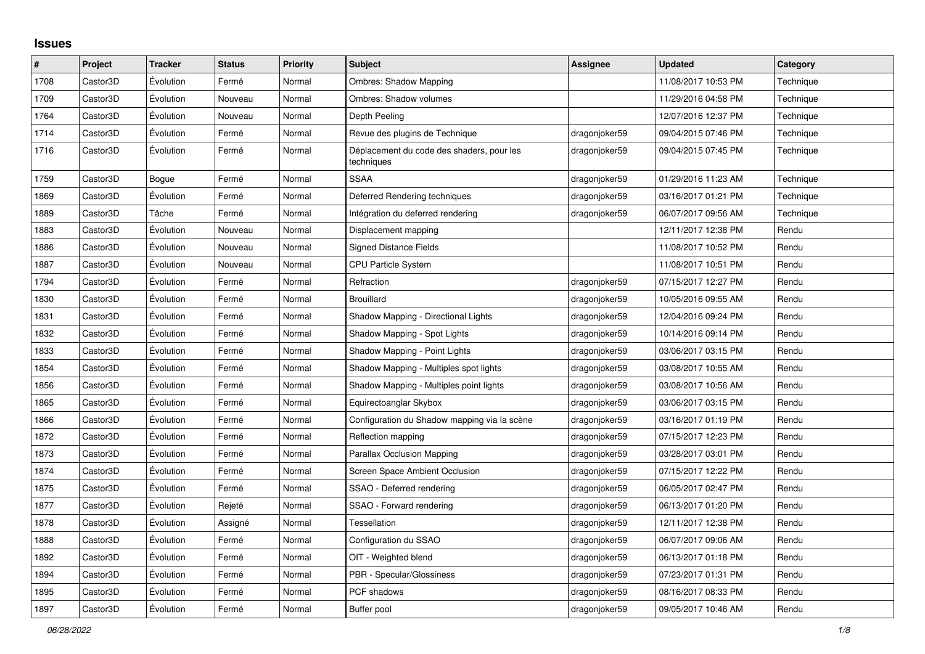## **Issues**

| $\vert$ # | Project  | <b>Tracker</b> | <b>Status</b> | <b>Priority</b> | <b>Subject</b>                                          | <b>Assignee</b> | <b>Updated</b>      | Category  |
|-----------|----------|----------------|---------------|-----------------|---------------------------------------------------------|-----------------|---------------------|-----------|
| 1708      | Castor3D | Évolution      | Fermé         | Normal          | <b>Ombres: Shadow Mapping</b>                           |                 | 11/08/2017 10:53 PM | Technique |
| 1709      | Castor3D | Évolution      | Nouveau       | Normal          | Ombres: Shadow volumes                                  |                 | 11/29/2016 04:58 PM | Technique |
| 1764      | Castor3D | Évolution      | Nouveau       | Normal          | Depth Peeling                                           |                 | 12/07/2016 12:37 PM | Technique |
| 1714      | Castor3D | Évolution      | Fermé         | Normal          | Revue des plugins de Technique                          | dragonjoker59   | 09/04/2015 07:46 PM | Technique |
| 1716      | Castor3D | Évolution      | Fermé         | Normal          | Déplacement du code des shaders, pour les<br>techniques | dragonjoker59   | 09/04/2015 07:45 PM | Technique |
| 1759      | Castor3D | Bogue          | Fermé         | Normal          | <b>SSAA</b>                                             | dragonjoker59   | 01/29/2016 11:23 AM | Technique |
| 1869      | Castor3D | Évolution      | Fermé         | Normal          | Deferred Rendering techniques                           | dragonjoker59   | 03/16/2017 01:21 PM | Technique |
| 1889      | Castor3D | Tâche          | Fermé         | Normal          | Intégration du deferred rendering                       | dragonjoker59   | 06/07/2017 09:56 AM | Technique |
| 1883      | Castor3D | Évolution      | Nouveau       | Normal          | Displacement mapping                                    |                 | 12/11/2017 12:38 PM | Rendu     |
| 1886      | Castor3D | Évolution      | Nouveau       | Normal          | <b>Signed Distance Fields</b>                           |                 | 11/08/2017 10:52 PM | Rendu     |
| 1887      | Castor3D | Évolution      | Nouveau       | Normal          | <b>CPU Particle System</b>                              |                 | 11/08/2017 10:51 PM | Rendu     |
| 1794      | Castor3D | Évolution      | Fermé         | Normal          | Refraction                                              | dragonjoker59   | 07/15/2017 12:27 PM | Rendu     |
| 1830      | Castor3D | Évolution      | Fermé         | Normal          | <b>Brouillard</b>                                       | dragonjoker59   | 10/05/2016 09:55 AM | Rendu     |
| 1831      | Castor3D | Évolution      | Fermé         | Normal          | Shadow Mapping - Directional Lights                     | dragonjoker59   | 12/04/2016 09:24 PM | Rendu     |
| 1832      | Castor3D | Évolution      | Fermé         | Normal          | Shadow Mapping - Spot Lights                            | dragonjoker59   | 10/14/2016 09:14 PM | Rendu     |
| 1833      | Castor3D | Évolution      | Fermé         | Normal          | Shadow Mapping - Point Lights                           | dragonjoker59   | 03/06/2017 03:15 PM | Rendu     |
| 1854      | Castor3D | Évolution      | Fermé         | Normal          | Shadow Mapping - Multiples spot lights                  | dragonjoker59   | 03/08/2017 10:55 AM | Rendu     |
| 1856      | Castor3D | Évolution      | Fermé         | Normal          | Shadow Mapping - Multiples point lights                 | dragonjoker59   | 03/08/2017 10:56 AM | Rendu     |
| 1865      | Castor3D | Évolution      | Fermé         | Normal          | Equirectoanglar Skybox                                  | dragonjoker59   | 03/06/2017 03:15 PM | Rendu     |
| 1866      | Castor3D | Évolution      | Fermé         | Normal          | Configuration du Shadow mapping via la scène            | dragonjoker59   | 03/16/2017 01:19 PM | Rendu     |
| 1872      | Castor3D | Évolution      | Fermé         | Normal          | Reflection mapping                                      | dragonjoker59   | 07/15/2017 12:23 PM | Rendu     |
| 1873      | Castor3D | Évolution      | Fermé         | Normal          | Parallax Occlusion Mapping                              | dragonjoker59   | 03/28/2017 03:01 PM | Rendu     |
| 1874      | Castor3D | Évolution      | Fermé         | Normal          | Screen Space Ambient Occlusion                          | dragonjoker59   | 07/15/2017 12:22 PM | Rendu     |
| 1875      | Castor3D | Évolution      | Fermé         | Normal          | SSAO - Deferred rendering                               | dragonjoker59   | 06/05/2017 02:47 PM | Rendu     |
| 1877      | Castor3D | Évolution      | Rejeté        | Normal          | SSAO - Forward rendering                                | dragonjoker59   | 06/13/2017 01:20 PM | Rendu     |
| 1878      | Castor3D | Évolution      | Assigné       | Normal          | <b>Tessellation</b>                                     | dragonjoker59   | 12/11/2017 12:38 PM | Rendu     |
| 1888      | Castor3D | Évolution      | Fermé         | Normal          | Configuration du SSAO                                   | dragonjoker59   | 06/07/2017 09:06 AM | Rendu     |
| 1892      | Castor3D | Évolution      | Fermé         | Normal          | OIT - Weighted blend                                    | dragonjoker59   | 06/13/2017 01:18 PM | Rendu     |
| 1894      | Castor3D | Évolution      | Fermé         | Normal          | PBR - Specular/Glossiness                               | dragonjoker59   | 07/23/2017 01:31 PM | Rendu     |
| 1895      | Castor3D | Évolution      | Fermé         | Normal          | PCF shadows                                             | dragonjoker59   | 08/16/2017 08:33 PM | Rendu     |
| 1897      | Castor3D | Évolution      | Fermé         | Normal          | Buffer pool                                             | dragonjoker59   | 09/05/2017 10:46 AM | Rendu     |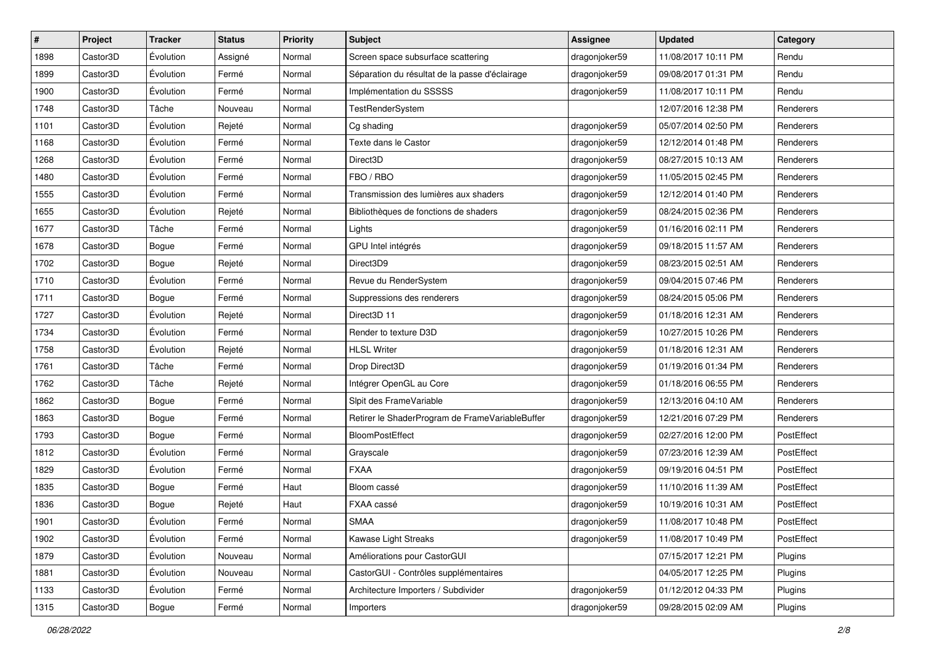| #    | Project  | <b>Tracker</b> | <b>Status</b> | <b>Priority</b> | Subject                                         | <b>Assignee</b> | <b>Updated</b>      | Category   |
|------|----------|----------------|---------------|-----------------|-------------------------------------------------|-----------------|---------------------|------------|
| 1898 | Castor3D | Évolution      | Assigné       | Normal          | Screen space subsurface scattering              | dragonjoker59   | 11/08/2017 10:11 PM | Rendu      |
| 1899 | Castor3D | Évolution      | Fermé         | Normal          | Séparation du résultat de la passe d'éclairage  | dragonjoker59   | 09/08/2017 01:31 PM | Rendu      |
| 1900 | Castor3D | Évolution      | Fermé         | Normal          | Implémentation du SSSSS                         | dragonjoker59   | 11/08/2017 10:11 PM | Rendu      |
| 1748 | Castor3D | Tâche          | Nouveau       | Normal          | <b>TestRenderSystem</b>                         |                 | 12/07/2016 12:38 PM | Renderers  |
| 1101 | Castor3D | Évolution      | Rejeté        | Normal          | Cg shading                                      | dragonjoker59   | 05/07/2014 02:50 PM | Renderers  |
| 1168 | Castor3D | Évolution      | Fermé         | Normal          | Texte dans le Castor                            | dragonjoker59   | 12/12/2014 01:48 PM | Renderers  |
| 1268 | Castor3D | Évolution      | Fermé         | Normal          | Direct3D                                        | dragonjoker59   | 08/27/2015 10:13 AM | Renderers  |
| 1480 | Castor3D | Évolution      | Fermé         | Normal          | FBO / RBO                                       | dragonjoker59   | 11/05/2015 02:45 PM | Renderers  |
| 1555 | Castor3D | Évolution      | Fermé         | Normal          | Transmission des lumières aux shaders           | dragonjoker59   | 12/12/2014 01:40 PM | Renderers  |
| 1655 | Castor3D | Évolution      | Rejeté        | Normal          | Bibliothèques de fonctions de shaders           | dragonjoker59   | 08/24/2015 02:36 PM | Renderers  |
| 1677 | Castor3D | Tâche          | Fermé         | Normal          | Lights                                          | dragonjoker59   | 01/16/2016 02:11 PM | Renderers  |
| 1678 | Castor3D | Bogue          | Fermé         | Normal          | GPU Intel intégrés                              | dragonjoker59   | 09/18/2015 11:57 AM | Renderers  |
| 1702 | Castor3D | Bogue          | Rejeté        | Normal          | Direct3D9                                       | dragonjoker59   | 08/23/2015 02:51 AM | Renderers  |
| 1710 | Castor3D | Évolution      | Fermé         | Normal          | Revue du RenderSystem                           | dragonjoker59   | 09/04/2015 07:46 PM | Renderers  |
| 1711 | Castor3D | Bogue          | Fermé         | Normal          | Suppressions des renderers                      | dragonjoker59   | 08/24/2015 05:06 PM | Renderers  |
| 1727 | Castor3D | Évolution      | Rejeté        | Normal          | Direct <sub>3</sub> D <sub>11</sub>             | dragonjoker59   | 01/18/2016 12:31 AM | Renderers  |
| 1734 | Castor3D | Évolution      | Fermé         | Normal          | Render to texture D3D                           | dragonjoker59   | 10/27/2015 10:26 PM | Renderers  |
| 1758 | Castor3D | Évolution      | Rejeté        | Normal          | <b>HLSL Writer</b>                              | dragonjoker59   | 01/18/2016 12:31 AM | Renderers  |
| 1761 | Castor3D | Tâche          | Fermé         | Normal          | Drop Direct3D                                   | dragonjoker59   | 01/19/2016 01:34 PM | Renderers  |
| 1762 | Castor3D | Tâche          | Rejeté        | Normal          | Intégrer OpenGL au Core                         | dragonjoker59   | 01/18/2016 06:55 PM | Renderers  |
| 1862 | Castor3D | Bogue          | Fermé         | Normal          | Slpit des FrameVariable                         | dragonjoker59   | 12/13/2016 04:10 AM | Renderers  |
| 1863 | Castor3D | Bogue          | Fermé         | Normal          | Retirer le ShaderProgram de FrameVariableBuffer | dragonjoker59   | 12/21/2016 07:29 PM | Renderers  |
| 1793 | Castor3D | Bogue          | Fermé         | Normal          | <b>BloomPostEffect</b>                          | dragonjoker59   | 02/27/2016 12:00 PM | PostEffect |
| 1812 | Castor3D | Évolution      | Fermé         | Normal          | Grayscale                                       | dragonjoker59   | 07/23/2016 12:39 AM | PostEffect |
| 1829 | Castor3D | Évolution      | Fermé         | Normal          | <b>FXAA</b>                                     | dragonjoker59   | 09/19/2016 04:51 PM | PostEffect |
| 1835 | Castor3D | Bogue          | Fermé         | Haut            | Bloom cassé                                     | dragonjoker59   | 11/10/2016 11:39 AM | PostEffect |
| 1836 | Castor3D | Bogue          | Rejeté        | Haut            | FXAA cassé                                      | dragonjoker59   | 10/19/2016 10:31 AM | PostEffect |
| 1901 | Castor3D | Évolution      | Fermé         | Normal          | SMAA                                            | dragonjoker59   | 11/08/2017 10:48 PM | PostEffect |
| 1902 | Castor3D | Évolution      | Fermé         | Normal          | Kawase Light Streaks                            | dragonjoker59   | 11/08/2017 10:49 PM | PostEffect |
| 1879 | Castor3D | Évolution      | Nouveau       | Normal          | Améliorations pour CastorGUI                    |                 | 07/15/2017 12:21 PM | Plugins    |
| 1881 | Castor3D | Évolution      | Nouveau       | Normal          | CastorGUI - Contrôles supplémentaires           |                 | 04/05/2017 12:25 PM | Plugins    |
| 1133 | Castor3D | Évolution      | Fermé         | Normal          | Architecture Importers / Subdivider             | dragonjoker59   | 01/12/2012 04:33 PM | Plugins    |
| 1315 | Castor3D | Bogue          | Fermé         | Normal          | Importers                                       | dragonjoker59   | 09/28/2015 02:09 AM | Plugins    |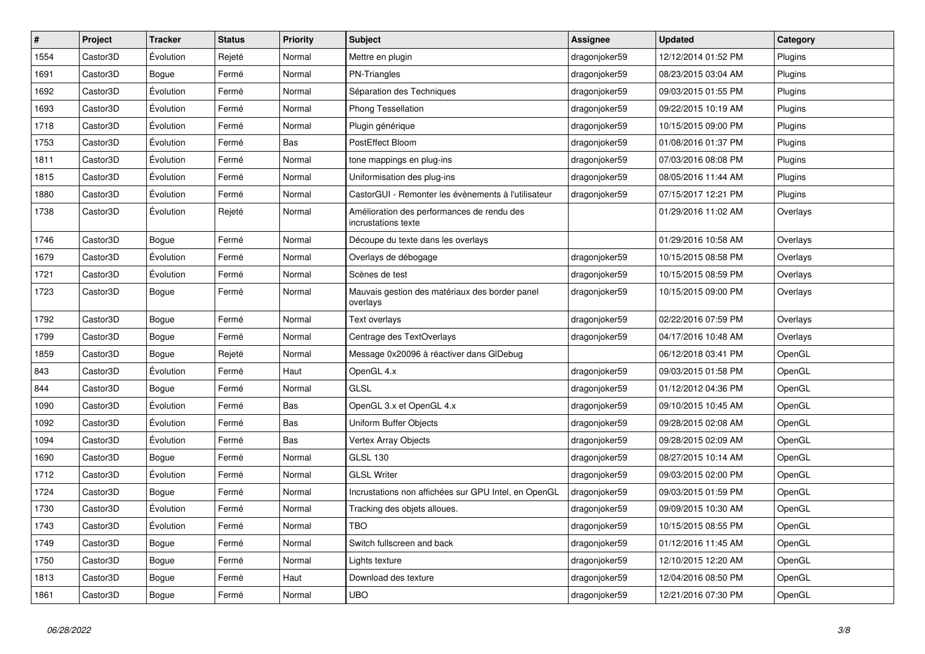| $\vert$ # | Project  | <b>Tracker</b> | <b>Status</b> | <b>Priority</b> | <b>Subject</b>                                                    | <b>Assignee</b> | <b>Updated</b>      | Category |
|-----------|----------|----------------|---------------|-----------------|-------------------------------------------------------------------|-----------------|---------------------|----------|
| 1554      | Castor3D | Évolution      | Rejeté        | Normal          | Mettre en plugin                                                  | dragonjoker59   | 12/12/2014 01:52 PM | Plugins  |
| 1691      | Castor3D | Bogue          | Fermé         | Normal          | <b>PN-Triangles</b>                                               | dragonjoker59   | 08/23/2015 03:04 AM | Plugins  |
| 1692      | Castor3D | Évolution      | Fermé         | Normal          | Séparation des Techniques                                         | dragonjoker59   | 09/03/2015 01:55 PM | Plugins  |
| 1693      | Castor3D | Évolution      | Fermé         | Normal          | <b>Phong Tessellation</b>                                         | dragonjoker59   | 09/22/2015 10:19 AM | Plugins  |
| 1718      | Castor3D | Évolution      | Fermé         | Normal          | Plugin générique                                                  | dragonjoker59   | 10/15/2015 09:00 PM | Plugins  |
| 1753      | Castor3D | Évolution      | Fermé         | Bas             | PostEffect Bloom                                                  | dragonjoker59   | 01/08/2016 01:37 PM | Plugins  |
| 1811      | Castor3D | Évolution      | Fermé         | Normal          | tone mappings en plug-ins                                         | dragonjoker59   | 07/03/2016 08:08 PM | Plugins  |
| 1815      | Castor3D | Évolution      | Fermé         | Normal          | Uniformisation des plug-ins                                       | dragonjoker59   | 08/05/2016 11:44 AM | Plugins  |
| 1880      | Castor3D | Évolution      | Fermé         | Normal          | CastorGUI - Remonter les évènements à l'utilisateur               | dragonjoker59   | 07/15/2017 12:21 PM | Plugins  |
| 1738      | Castor3D | Évolution      | Rejeté        | Normal          | Amélioration des performances de rendu des<br>incrustations texte |                 | 01/29/2016 11:02 AM | Overlays |
| 1746      | Castor3D | Bogue          | Fermé         | Normal          | Découpe du texte dans les overlays                                |                 | 01/29/2016 10:58 AM | Overlays |
| 1679      | Castor3D | Évolution      | Fermé         | Normal          | Overlays de débogage                                              | dragonjoker59   | 10/15/2015 08:58 PM | Overlays |
| 1721      | Castor3D | Évolution      | Fermé         | Normal          | Scènes de test                                                    | dragonjoker59   | 10/15/2015 08:59 PM | Overlays |
| 1723      | Castor3D | Bogue          | Fermé         | Normal          | Mauvais gestion des matériaux des border panel<br>overlays        | dragonjoker59   | 10/15/2015 09:00 PM | Overlays |
| 1792      | Castor3D | Bogue          | Fermé         | Normal          | <b>Text overlays</b>                                              | dragonjoker59   | 02/22/2016 07:59 PM | Overlays |
| 1799      | Castor3D | Bogue          | Fermé         | Normal          | Centrage des TextOverlays                                         | dragonjoker59   | 04/17/2016 10:48 AM | Overlays |
| 1859      | Castor3D | Bogue          | Rejeté        | Normal          | Message 0x20096 à réactiver dans GIDebug                          |                 | 06/12/2018 03:41 PM | OpenGL   |
| 843       | Castor3D | Évolution      | Fermé         | Haut            | OpenGL 4.x                                                        | dragonjoker59   | 09/03/2015 01:58 PM | OpenGL   |
| 844       | Castor3D | Bogue          | Fermé         | Normal          | <b>GLSL</b>                                                       | dragonjoker59   | 01/12/2012 04:36 PM | OpenGL   |
| 1090      | Castor3D | Évolution      | Fermé         | Bas             | OpenGL 3.x et OpenGL 4.x                                          | dragonjoker59   | 09/10/2015 10:45 AM | OpenGL   |
| 1092      | Castor3D | Évolution      | Fermé         | Bas             | Uniform Buffer Objects                                            | dragonjoker59   | 09/28/2015 02:08 AM | OpenGL   |
| 1094      | Castor3D | Évolution      | Fermé         | Bas             | Vertex Array Objects                                              | dragonjoker59   | 09/28/2015 02:09 AM | OpenGL   |
| 1690      | Castor3D | Bogue          | Fermé         | Normal          | <b>GLSL 130</b>                                                   | dragonjoker59   | 08/27/2015 10:14 AM | OpenGL   |
| 1712      | Castor3D | Évolution      | Fermé         | Normal          | <b>GLSL Writer</b>                                                | dragonjoker59   | 09/03/2015 02:00 PM | OpenGL   |
| 1724      | Castor3D | Bogue          | Fermé         | Normal          | Incrustations non affichées sur GPU Intel, en OpenGL              | dragonjoker59   | 09/03/2015 01:59 PM | OpenGL   |
| 1730      | Castor3D | Évolution      | Fermé         | Normal          | Tracking des objets alloues.                                      | dragonjoker59   | 09/09/2015 10:30 AM | OpenGL   |
| 1743      | Castor3D | Evolution      | Fermé         | Normal          | <b>TBO</b>                                                        | dragonjoker59   | 10/15/2015 08:55 PM | OpenGL   |
| 1749      | Castor3D | Bogue          | Fermé         | Normal          | Switch fullscreen and back                                        | dragonjoker59   | 01/12/2016 11:45 AM | OpenGL   |
| 1750      | Castor3D | Bogue          | Fermé         | Normal          | Lights texture                                                    | dragonjoker59   | 12/10/2015 12:20 AM | OpenGL   |
| 1813      | Castor3D | Bogue          | Fermé         | Haut            | Download des texture                                              | dragonjoker59   | 12/04/2016 08:50 PM | OpenGL   |
| 1861      | Castor3D | Bogue          | Fermé         | Normal          | <b>UBO</b>                                                        | dragonjoker59   | 12/21/2016 07:30 PM | OpenGL   |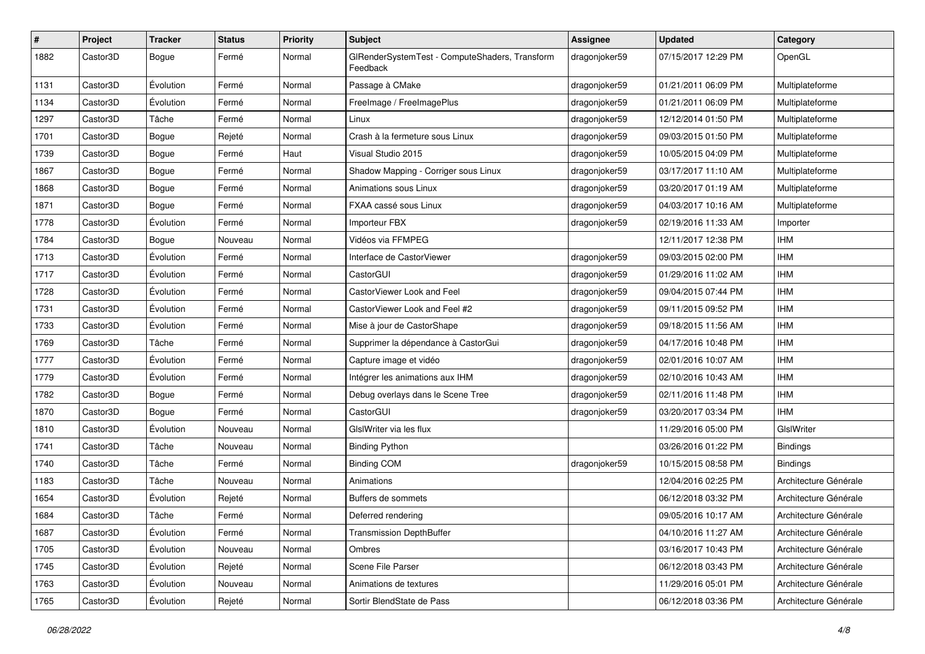| $\sharp$ | Project  | <b>Tracker</b> | <b>Status</b> | <b>Priority</b> | <b>Subject</b>                                             | <b>Assignee</b> | <b>Updated</b>      | Category              |
|----------|----------|----------------|---------------|-----------------|------------------------------------------------------------|-----------------|---------------------|-----------------------|
| 1882     | Castor3D | Bogue          | Fermé         | Normal          | GIRenderSystemTest - ComputeShaders, Transform<br>Feedback | dragonjoker59   | 07/15/2017 12:29 PM | OpenGL                |
| 1131     | Castor3D | Évolution      | Fermé         | Normal          | Passage à CMake                                            | dragonjoker59   | 01/21/2011 06:09 PM | Multiplateforme       |
| 1134     | Castor3D | Évolution      | Fermé         | Normal          | FreeImage / FreeImagePlus                                  | dragonjoker59   | 01/21/2011 06:09 PM | Multiplateforme       |
| 1297     | Castor3D | Tâche          | Fermé         | Normal          | Linux                                                      | dragonjoker59   | 12/12/2014 01:50 PM | Multiplateforme       |
| 1701     | Castor3D | Bogue          | Rejeté        | Normal          | Crash à la fermeture sous Linux                            | dragonjoker59   | 09/03/2015 01:50 PM | Multiplateforme       |
| 1739     | Castor3D | <b>Bogue</b>   | Fermé         | Haut            | Visual Studio 2015                                         | dragonjoker59   | 10/05/2015 04:09 PM | Multiplateforme       |
| 1867     | Castor3D | Bogue          | Fermé         | Normal          | Shadow Mapping - Corriger sous Linux                       | dragonjoker59   | 03/17/2017 11:10 AM | Multiplateforme       |
| 1868     | Castor3D | Bogue          | Fermé         | Normal          | Animations sous Linux                                      | dragonjoker59   | 03/20/2017 01:19 AM | Multiplateforme       |
| 1871     | Castor3D | Bogue          | Fermé         | Normal          | FXAA cassé sous Linux                                      | dragonjoker59   | 04/03/2017 10:16 AM | Multiplateforme       |
| 1778     | Castor3D | Évolution      | Fermé         | Normal          | Importeur FBX                                              | dragonjoker59   | 02/19/2016 11:33 AM | Importer              |
| 1784     | Castor3D | Bogue          | Nouveau       | Normal          | Vidéos via FFMPEG                                          |                 | 12/11/2017 12:38 PM | <b>IHM</b>            |
| 1713     | Castor3D | Évolution      | Fermé         | Normal          | Interface de CastorViewer                                  | dragonjoker59   | 09/03/2015 02:00 PM | <b>IHM</b>            |
| 1717     | Castor3D | Évolution      | Fermé         | Normal          | CastorGUI                                                  | dragonjoker59   | 01/29/2016 11:02 AM | <b>IHM</b>            |
| 1728     | Castor3D | Évolution      | Fermé         | Normal          | CastorViewer Look and Feel                                 | dragonjoker59   | 09/04/2015 07:44 PM | <b>IHM</b>            |
| 1731     | Castor3D | Évolution      | Fermé         | Normal          | CastorViewer Look and Feel #2                              | dragonjoker59   | 09/11/2015 09:52 PM | <b>IHM</b>            |
| 1733     | Castor3D | Évolution      | Fermé         | Normal          | Mise à jour de CastorShape                                 | dragonjoker59   | 09/18/2015 11:56 AM | <b>IHM</b>            |
| 1769     | Castor3D | Tâche          | Fermé         | Normal          | Supprimer la dépendance à CastorGui                        | dragonjoker59   | 04/17/2016 10:48 PM | <b>IHM</b>            |
| 1777     | Castor3D | Évolution      | Fermé         | Normal          | Capture image et vidéo                                     | dragonjoker59   | 02/01/2016 10:07 AM | <b>IHM</b>            |
| 1779     | Castor3D | Évolution      | Fermé         | Normal          | Intégrer les animations aux IHM                            | dragonjoker59   | 02/10/2016 10:43 AM | <b>IHM</b>            |
| 1782     | Castor3D | Bogue          | Fermé         | Normal          | Debug overlays dans le Scene Tree                          | dragonjoker59   | 02/11/2016 11:48 PM | <b>IHM</b>            |
| 1870     | Castor3D | Bogue          | Fermé         | Normal          | CastorGUI                                                  | dragonjoker59   | 03/20/2017 03:34 PM | <b>IHM</b>            |
| 1810     | Castor3D | Évolution      | Nouveau       | Normal          | GIsIWriter via les flux                                    |                 | 11/29/2016 05:00 PM | GIslWriter            |
| 1741     | Castor3D | Tâche          | Nouveau       | Normal          | <b>Binding Python</b>                                      |                 | 03/26/2016 01:22 PM | <b>Bindings</b>       |
| 1740     | Castor3D | Tâche          | Fermé         | Normal          | <b>Binding COM</b>                                         | dragonjoker59   | 10/15/2015 08:58 PM | <b>Bindings</b>       |
| 1183     | Castor3D | Tâche          | Nouveau       | Normal          | Animations                                                 |                 | 12/04/2016 02:25 PM | Architecture Générale |
| 1654     | Castor3D | Évolution      | Rejeté        | Normal          | Buffers de sommets                                         |                 | 06/12/2018 03:32 PM | Architecture Générale |
| 1684     | Castor3D | Tâche          | Fermé         | Normal          | Deferred rendering                                         |                 | 09/05/2016 10:17 AM | Architecture Générale |
| 1687     | Castor3D | Évolution      | Fermé         | Normal          | <b>Transmission DepthBuffer</b>                            |                 | 04/10/2016 11:27 AM | Architecture Générale |
| 1705     | Castor3D | Évolution      | Nouveau       | Normal          | Ombres                                                     |                 | 03/16/2017 10:43 PM | Architecture Générale |
| 1745     | Castor3D | Évolution      | Rejeté        | Normal          | Scene File Parser                                          |                 | 06/12/2018 03:43 PM | Architecture Générale |
| 1763     | Castor3D | Évolution      | Nouveau       | Normal          | Animations de textures                                     |                 | 11/29/2016 05:01 PM | Architecture Générale |
| 1765     | Castor3D | Évolution      | Rejeté        | Normal          | Sortir BlendState de Pass                                  |                 | 06/12/2018 03:36 PM | Architecture Générale |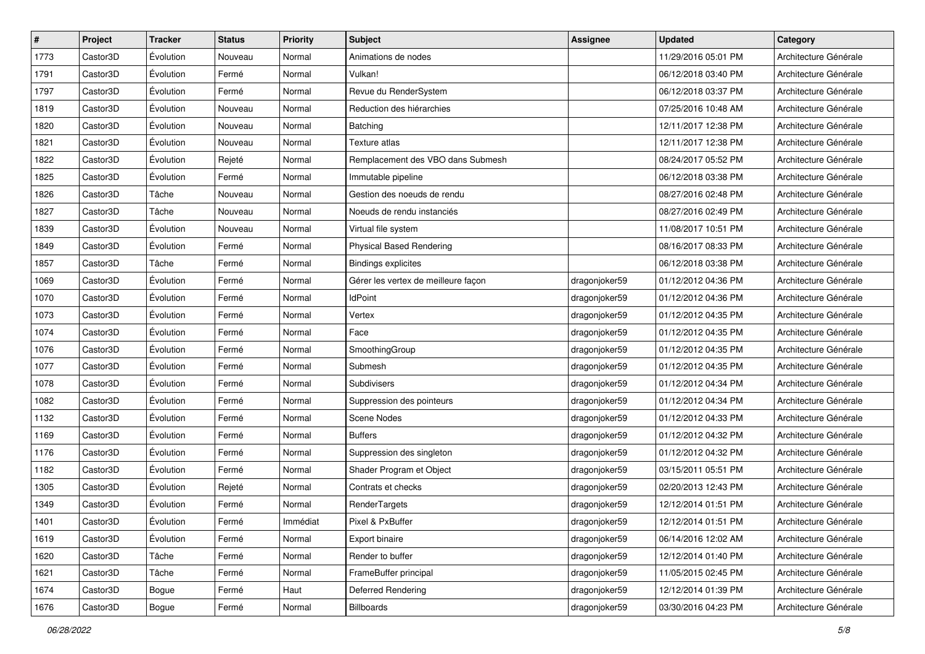| $\sharp$ | Project  | <b>Tracker</b>   | <b>Status</b> | <b>Priority</b> | Subject                             | <b>Assignee</b> | <b>Updated</b>      | Category              |
|----------|----------|------------------|---------------|-----------------|-------------------------------------|-----------------|---------------------|-----------------------|
| 1773     | Castor3D | Évolution        | Nouveau       | Normal          | Animations de nodes                 |                 | 11/29/2016 05:01 PM | Architecture Générale |
| 1791     | Castor3D | Évolution        | Fermé         | Normal          | Vulkan!                             |                 | 06/12/2018 03:40 PM | Architecture Générale |
| 1797     | Castor3D | Évolution        | Fermé         | Normal          | Revue du RenderSystem               |                 | 06/12/2018 03:37 PM | Architecture Générale |
| 1819     | Castor3D | Évolution        | Nouveau       | Normal          | Reduction des hiérarchies           |                 | 07/25/2016 10:48 AM | Architecture Générale |
| 1820     | Castor3D | Évolution        | Nouveau       | Normal          | Batching                            |                 | 12/11/2017 12:38 PM | Architecture Générale |
| 1821     | Castor3D | Évolution        | Nouveau       | Normal          | Texture atlas                       |                 | 12/11/2017 12:38 PM | Architecture Générale |
| 1822     | Castor3D | Évolution        | Rejeté        | Normal          | Remplacement des VBO dans Submesh   |                 | 08/24/2017 05:52 PM | Architecture Générale |
| 1825     | Castor3D | Évolution        | Fermé         | Normal          | Immutable pipeline                  |                 | 06/12/2018 03:38 PM | Architecture Générale |
| 1826     | Castor3D | Tâche            | Nouveau       | Normal          | Gestion des noeuds de rendu         |                 | 08/27/2016 02:48 PM | Architecture Générale |
| 1827     | Castor3D | Tâche            | Nouveau       | Normal          | Noeuds de rendu instanciés          |                 | 08/27/2016 02:49 PM | Architecture Générale |
| 1839     | Castor3D | Évolution        | Nouveau       | Normal          | Virtual file system                 |                 | 11/08/2017 10:51 PM | Architecture Générale |
| 1849     | Castor3D | Évolution        | Fermé         | Normal          | <b>Physical Based Rendering</b>     |                 | 08/16/2017 08:33 PM | Architecture Générale |
| 1857     | Castor3D | Tâche            | Fermé         | Normal          | <b>Bindings explicites</b>          |                 | 06/12/2018 03:38 PM | Architecture Générale |
| 1069     | Castor3D | Évolution        | Fermé         | Normal          | Gérer les vertex de meilleure façon | dragonjoker59   | 01/12/2012 04:36 PM | Architecture Générale |
| 1070     | Castor3D | Évolution        | Fermé         | Normal          | <b>IdPoint</b>                      | dragonjoker59   | 01/12/2012 04:36 PM | Architecture Générale |
| 1073     | Castor3D | Évolution        | Fermé         | Normal          | Vertex                              | dragonjoker59   | 01/12/2012 04:35 PM | Architecture Générale |
| 1074     | Castor3D | Évolution        | Fermé         | Normal          | Face                                | dragonjoker59   | 01/12/2012 04:35 PM | Architecture Générale |
| 1076     | Castor3D | Évolution        | Fermé         | Normal          | SmoothingGroup                      | dragonjoker59   | 01/12/2012 04:35 PM | Architecture Générale |
| 1077     | Castor3D | Évolution        | Fermé         | Normal          | Submesh                             | dragonjoker59   | 01/12/2012 04:35 PM | Architecture Générale |
| 1078     | Castor3D | Évolution        | Fermé         | Normal          | Subdivisers                         | dragonjoker59   | 01/12/2012 04:34 PM | Architecture Générale |
| 1082     | Castor3D | Évolution        | Fermé         | Normal          | Suppression des pointeurs           | dragonjoker59   | 01/12/2012 04:34 PM | Architecture Générale |
| 1132     | Castor3D | Évolution        | Fermé         | Normal          | Scene Nodes                         | dragonjoker59   | 01/12/2012 04:33 PM | Architecture Générale |
| 1169     | Castor3D | Évolution        | Fermé         | Normal          | <b>Buffers</b>                      | dragonjoker59   | 01/12/2012 04:32 PM | Architecture Générale |
| 1176     | Castor3D | Évolution        | Fermé         | Normal          | Suppression des singleton           | dragonjoker59   | 01/12/2012 04:32 PM | Architecture Générale |
| 1182     | Castor3D | Évolution        | Fermé         | Normal          | Shader Program et Object            | dragonjoker59   | 03/15/2011 05:51 PM | Architecture Générale |
| 1305     | Castor3D | Évolution        | Rejeté        | Normal          | Contrats et checks                  | dragonjoker59   | 02/20/2013 12:43 PM | Architecture Générale |
| 1349     | Castor3D | Évolution        | Fermé         | Normal          | RenderTargets                       | dragonjoker59   | 12/12/2014 01:51 PM | Architecture Générale |
| 1401     | Castor3D | Évolution        | Fermé         | Immédiat        | Pixel & PxBuffer                    | dragonjoker59   | 12/12/2014 01:51 PM | Architecture Générale |
| 1619     | Castor3D | <b>Évolution</b> | Fermé         | Normal          | Export binaire                      | dragonjoker59   | 06/14/2016 12:02 AM | Architecture Générale |
| 1620     | Castor3D | Tâche            | Fermé         | Normal          | Render to buffer                    | dragonjoker59   | 12/12/2014 01:40 PM | Architecture Générale |
| 1621     | Castor3D | Tâche            | Fermé         | Normal          | FrameBuffer principal               | dragonjoker59   | 11/05/2015 02:45 PM | Architecture Générale |
| 1674     | Castor3D | Bogue            | Fermé         | Haut            | Deferred Rendering                  | dragonjoker59   | 12/12/2014 01:39 PM | Architecture Générale |
| 1676     | Castor3D | Bogue            | Fermé         | Normal          | Billboards                          | dragonjoker59   | 03/30/2016 04:23 PM | Architecture Générale |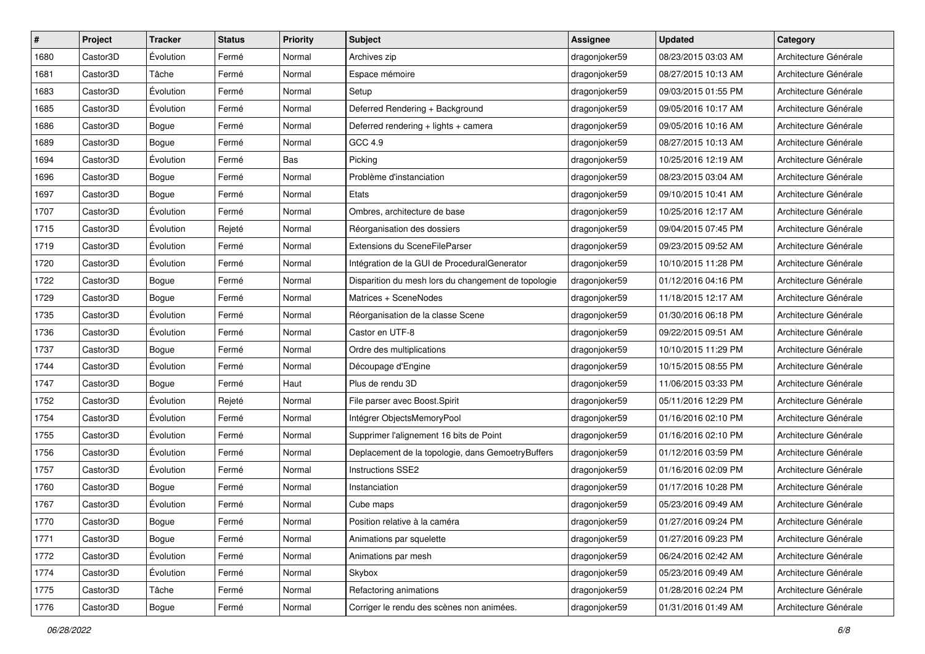| #    | Project  | <b>Tracker</b> | <b>Status</b> | Priority | Subject                                             | <b>Assignee</b> | <b>Updated</b>      | Category              |
|------|----------|----------------|---------------|----------|-----------------------------------------------------|-----------------|---------------------|-----------------------|
| 1680 | Castor3D | Évolution      | Fermé         | Normal   | Archives zip                                        | dragonjoker59   | 08/23/2015 03:03 AM | Architecture Générale |
| 1681 | Castor3D | Tâche          | Fermé         | Normal   | Espace mémoire                                      | dragonjoker59   | 08/27/2015 10:13 AM | Architecture Générale |
| 1683 | Castor3D | Évolution      | Fermé         | Normal   | Setup                                               | dragonjoker59   | 09/03/2015 01:55 PM | Architecture Générale |
| 1685 | Castor3D | Évolution      | Fermé         | Normal   | Deferred Rendering + Background                     | dragonjoker59   | 09/05/2016 10:17 AM | Architecture Générale |
| 1686 | Castor3D | Bogue          | Fermé         | Normal   | Deferred rendering + lights + camera                | dragonjoker59   | 09/05/2016 10:16 AM | Architecture Générale |
| 1689 | Castor3D | Bogue          | Fermé         | Normal   | GCC 4.9                                             | dragonjoker59   | 08/27/2015 10:13 AM | Architecture Générale |
| 1694 | Castor3D | Évolution      | Fermé         | Bas      | Picking                                             | dragonjoker59   | 10/25/2016 12:19 AM | Architecture Générale |
| 1696 | Castor3D | Bogue          | Fermé         | Normal   | Problème d'instanciation                            | dragonjoker59   | 08/23/2015 03:04 AM | Architecture Générale |
| 1697 | Castor3D | Bogue          | Fermé         | Normal   | Etats                                               | dragonjoker59   | 09/10/2015 10:41 AM | Architecture Générale |
| 1707 | Castor3D | Évolution      | Fermé         | Normal   | Ombres, architecture de base                        | dragonjoker59   | 10/25/2016 12:17 AM | Architecture Générale |
| 1715 | Castor3D | Évolution      | Rejeté        | Normal   | Réorganisation des dossiers                         | dragonjoker59   | 09/04/2015 07:45 PM | Architecture Générale |
| 1719 | Castor3D | Évolution      | Fermé         | Normal   | Extensions du SceneFileParser                       | dragonjoker59   | 09/23/2015 09:52 AM | Architecture Générale |
| 1720 | Castor3D | Évolution      | Fermé         | Normal   | Intégration de la GUI de ProceduralGenerator        | dragonjoker59   | 10/10/2015 11:28 PM | Architecture Générale |
| 1722 | Castor3D | Bogue          | Fermé         | Normal   | Disparition du mesh lors du changement de topologie | dragonjoker59   | 01/12/2016 04:16 PM | Architecture Générale |
| 1729 | Castor3D | <b>Bogue</b>   | Fermé         | Normal   | Matrices + SceneNodes                               | dragonjoker59   | 11/18/2015 12:17 AM | Architecture Générale |
| 1735 | Castor3D | Évolution      | Fermé         | Normal   | Réorganisation de la classe Scene                   | dragonjoker59   | 01/30/2016 06:18 PM | Architecture Générale |
| 1736 | Castor3D | Évolution      | Fermé         | Normal   | Castor en UTF-8                                     | dragonjoker59   | 09/22/2015 09:51 AM | Architecture Générale |
| 1737 | Castor3D | Bogue          | Fermé         | Normal   | Ordre des multiplications                           | dragonjoker59   | 10/10/2015 11:29 PM | Architecture Générale |
| 1744 | Castor3D | Évolution      | Fermé         | Normal   | Découpage d'Engine                                  | dragonjoker59   | 10/15/2015 08:55 PM | Architecture Générale |
| 1747 | Castor3D | Bogue          | Fermé         | Haut     | Plus de rendu 3D                                    | dragonjoker59   | 11/06/2015 03:33 PM | Architecture Générale |
| 1752 | Castor3D | Évolution      | Rejeté        | Normal   | File parser avec Boost.Spirit                       | dragonjoker59   | 05/11/2016 12:29 PM | Architecture Générale |
| 1754 | Castor3D | Évolution      | Fermé         | Normal   | Intégrer ObjectsMemoryPool                          | dragonjoker59   | 01/16/2016 02:10 PM | Architecture Générale |
| 1755 | Castor3D | Évolution      | Fermé         | Normal   | Supprimer l'alignement 16 bits de Point             | dragonjoker59   | 01/16/2016 02:10 PM | Architecture Générale |
| 1756 | Castor3D | Évolution      | Fermé         | Normal   | Deplacement de la topologie, dans GemoetryBuffers   | dragonjoker59   | 01/12/2016 03:59 PM | Architecture Générale |
| 1757 | Castor3D | Évolution      | Fermé         | Normal   | Instructions SSE2                                   | dragonjoker59   | 01/16/2016 02:09 PM | Architecture Générale |
| 1760 | Castor3D | Bogue          | Fermé         | Normal   | Instanciation                                       | dragonjoker59   | 01/17/2016 10:28 PM | Architecture Générale |
| 1767 | Castor3D | Évolution      | Fermé         | Normal   | Cube maps                                           | dragonjoker59   | 05/23/2016 09:49 AM | Architecture Générale |
| 1770 | Castor3D | Bogue          | Fermé         | Normal   | Position relative à la caméra                       | dragonjoker59   | 01/27/2016 09:24 PM | Architecture Générale |
| 1771 | Castor3D | Bogue          | Fermé         | Normal   | Animations par squelette                            | dragonjoker59   | 01/27/2016 09:23 PM | Architecture Générale |
| 1772 | Castor3D | Évolution      | Fermé         | Normal   | Animations par mesh                                 | dragonjoker59   | 06/24/2016 02:42 AM | Architecture Générale |
| 1774 | Castor3D | Évolution      | Fermé         | Normal   | Skybox                                              | dragonjoker59   | 05/23/2016 09:49 AM | Architecture Générale |
| 1775 | Castor3D | Tâche          | Fermé         | Normal   | Refactoring animations                              | dragonjoker59   | 01/28/2016 02:24 PM | Architecture Générale |
| 1776 | Castor3D | Bogue          | Fermé         | Normal   | Corriger le rendu des scènes non animées.           | dragonjoker59   | 01/31/2016 01:49 AM | Architecture Générale |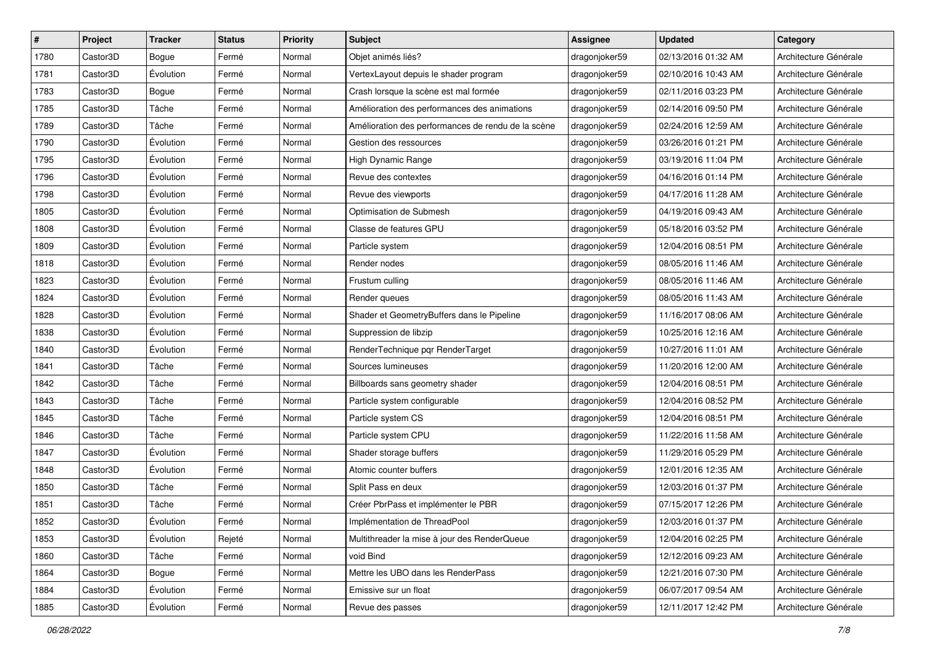| #    | Project  | <b>Tracker</b>   | <b>Status</b> | Priority | Subject                                            | <b>Assignee</b> | <b>Updated</b>      | Category              |
|------|----------|------------------|---------------|----------|----------------------------------------------------|-----------------|---------------------|-----------------------|
| 1780 | Castor3D | Bogue            | Fermé         | Normal   | Objet animés liés?                                 | dragonjoker59   | 02/13/2016 01:32 AM | Architecture Générale |
| 1781 | Castor3D | Évolution        | Fermé         | Normal   | VertexLayout depuis le shader program              | dragonjoker59   | 02/10/2016 10:43 AM | Architecture Générale |
| 1783 | Castor3D | Bogue            | Fermé         | Normal   | Crash lorsque la scène est mal formée              | dragonjoker59   | 02/11/2016 03:23 PM | Architecture Générale |
| 1785 | Castor3D | Tâche            | Fermé         | Normal   | Amélioration des performances des animations       | dragonjoker59   | 02/14/2016 09:50 PM | Architecture Générale |
| 1789 | Castor3D | Tâche            | Fermé         | Normal   | Amélioration des performances de rendu de la scène | dragonjoker59   | 02/24/2016 12:59 AM | Architecture Générale |
| 1790 | Castor3D | Évolution        | Fermé         | Normal   | Gestion des ressources                             | dragonjoker59   | 03/26/2016 01:21 PM | Architecture Générale |
| 1795 | Castor3D | Évolution        | Fermé         | Normal   | High Dynamic Range                                 | dragonjoker59   | 03/19/2016 11:04 PM | Architecture Générale |
| 1796 | Castor3D | Évolution        | Fermé         | Normal   | Revue des contextes                                | dragonjoker59   | 04/16/2016 01:14 PM | Architecture Générale |
| 1798 | Castor3D | Évolution        | Fermé         | Normal   | Revue des viewports                                | dragonjoker59   | 04/17/2016 11:28 AM | Architecture Générale |
| 1805 | Castor3D | Évolution        | Fermé         | Normal   | Optimisation de Submesh                            | dragonjoker59   | 04/19/2016 09:43 AM | Architecture Générale |
| 1808 | Castor3D | Évolution        | Fermé         | Normal   | Classe de features GPU                             | dragonjoker59   | 05/18/2016 03:52 PM | Architecture Générale |
| 1809 | Castor3D | Évolution        | Fermé         | Normal   | Particle system                                    | dragonjoker59   | 12/04/2016 08:51 PM | Architecture Générale |
| 1818 | Castor3D | Évolution        | Fermé         | Normal   | Render nodes                                       | dragonjoker59   | 08/05/2016 11:46 AM | Architecture Générale |
| 1823 | Castor3D | Évolution        | Fermé         | Normal   | Frustum culling                                    | dragonjoker59   | 08/05/2016 11:46 AM | Architecture Générale |
| 1824 | Castor3D | Évolution        | Fermé         | Normal   | Render queues                                      | dragonjoker59   | 08/05/2016 11:43 AM | Architecture Générale |
| 1828 | Castor3D | Évolution        | Fermé         | Normal   | Shader et GeometryBuffers dans le Pipeline         | dragonjoker59   | 11/16/2017 08:06 AM | Architecture Générale |
| 1838 | Castor3D | Évolution        | Fermé         | Normal   | Suppression de libzip                              | dragonjoker59   | 10/25/2016 12:16 AM | Architecture Générale |
| 1840 | Castor3D | Évolution        | Fermé         | Normal   | RenderTechnique pqr RenderTarget                   | dragonjoker59   | 10/27/2016 11:01 AM | Architecture Générale |
| 1841 | Castor3D | Tâche            | Fermé         | Normal   | Sources lumineuses                                 | dragonjoker59   | 11/20/2016 12:00 AM | Architecture Générale |
| 1842 | Castor3D | Tâche            | Fermé         | Normal   | Billboards sans geometry shader                    | dragonjoker59   | 12/04/2016 08:51 PM | Architecture Générale |
| 1843 | Castor3D | Tâche            | Fermé         | Normal   | Particle system configurable                       | dragonjoker59   | 12/04/2016 08:52 PM | Architecture Générale |
| 1845 | Castor3D | Tâche            | Fermé         | Normal   | Particle system CS                                 | dragonjoker59   | 12/04/2016 08:51 PM | Architecture Générale |
| 1846 | Castor3D | Tâche            | Fermé         | Normal   | Particle system CPU                                | dragonjoker59   | 11/22/2016 11:58 AM | Architecture Générale |
| 1847 | Castor3D | Évolution        | Fermé         | Normal   | Shader storage buffers                             | dragonjoker59   | 11/29/2016 05:29 PM | Architecture Générale |
| 1848 | Castor3D | Évolution        | Fermé         | Normal   | Atomic counter buffers                             | dragonjoker59   | 12/01/2016 12:35 AM | Architecture Générale |
| 1850 | Castor3D | Tâche            | Fermé         | Normal   | Split Pass en deux                                 | dragonjoker59   | 12/03/2016 01:37 PM | Architecture Générale |
| 1851 | Castor3D | Tâche            | Fermé         | Normal   | Créer PbrPass et implémenter le PBR                | dragonjoker59   | 07/15/2017 12:26 PM | Architecture Générale |
| 1852 | Castor3D | Évolution        | Fermé         | Normal   | Implémentation de ThreadPool                       | dragonjoker59   | 12/03/2016 01:37 PM | Architecture Générale |
| 1853 | Castor3D | <b>Évolution</b> | Rejeté        | Normal   | Multithreader la mise à jour des RenderQueue       | dragonjoker59   | 12/04/2016 02:25 PM | Architecture Générale |
| 1860 | Castor3D | Tâche            | Fermé         | Normal   | void Bind                                          | dragonjoker59   | 12/12/2016 09:23 AM | Architecture Générale |
| 1864 | Castor3D | Bogue            | Fermé         | Normal   | Mettre les UBO dans les RenderPass                 | dragonjoker59   | 12/21/2016 07:30 PM | Architecture Générale |
| 1884 | Castor3D | Évolution        | Fermé         | Normal   | Emissive sur un float                              | dragonjoker59   | 06/07/2017 09:54 AM | Architecture Générale |
| 1885 | Castor3D | Évolution        | Fermé         | Normal   | Revue des passes                                   | dragonjoker59   | 12/11/2017 12:42 PM | Architecture Générale |